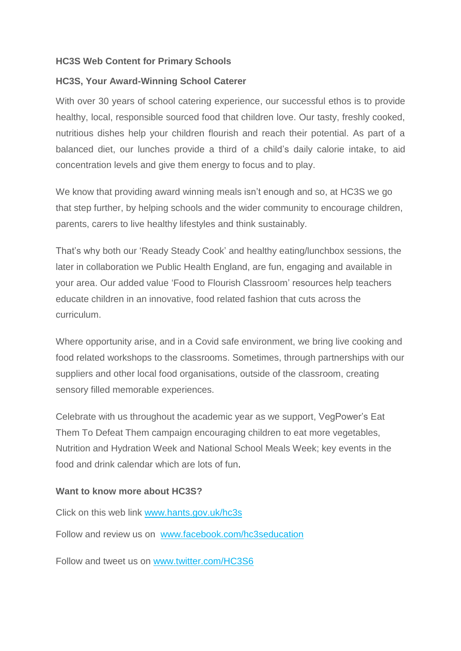## **HC3S Web Content for Primary Schools**

## **HC3S, Your Award-Winning School Caterer**

With over 30 years of school catering experience, our successful ethos is to provide healthy, local, responsible sourced food that children love. Our tasty, freshly cooked, nutritious dishes help your children flourish and reach their potential. As part of a balanced diet, our lunches provide a third of a child's daily calorie intake, to aid concentration levels and give them energy to focus and to play.

We know that providing award winning meals isn't enough and so, at HC3S we go that step further, by helping schools and the wider community to encourage children, parents, carers to live healthy lifestyles and think sustainably.

That's why both our 'Ready Steady Cook' and healthy eating/lunchbox sessions, the later in collaboration we Public Health England, are fun, engaging and available in your area. Our added value 'Food to Flourish Classroom' resources help teachers educate children in an innovative, food related fashion that cuts across the curriculum.

Where opportunity arise, and in a Covid safe environment, we bring live cooking and food related workshops to the classrooms. Sometimes, through partnerships with our suppliers and other local food organisations, outside of the classroom, creating sensory filled memorable experiences.

Celebrate with us throughout the academic year as we support, VegPower's Eat Them To Defeat Them campaign encouraging children to eat more vegetables, Nutrition and Hydration Week and National School Meals Week; key events in the food and drink calendar which are lots of fun.

## **Want to know more about HC3S?**

Click on this web link www.hants.gov.uk/hc3s

Follow and review us on [www.facebook.com/hc3seducation](http://www.facebook.com/hc3seducation)

Follow and tweet us on [www.twitter.com/HC3S6](http://www.twitter.com/HC3S6)